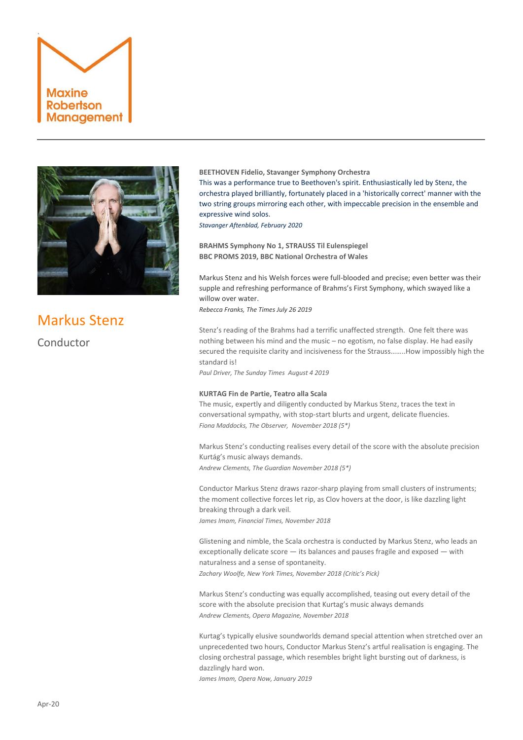



# Markus Stenz

Conductor

## **BEETHOVEN Fidelio, Stavanger Symphony Orchestra**

This was a performance true to Beethoven's spirit. Enthusiastically led by Stenz, the orchestra played brilliantly, fortunately placed in a 'historically correct' manner with the two string groups mirroring each other, with impeccable precision in the ensemble and expressive wind solos.

*Stavanger Aftenblad, February 2020*

**BRAHMS Symphony No 1, STRAUSS Til Eulenspiegel BBC PROMS 2019, BBC National Orchestra of Wales**

Markus Stenz and his Welsh forces were full-blooded and precise; even better was their supple and refreshing performance of Brahms's First Symphony, which swayed like a willow over water.

*Rebecca Franks, The Times July 26 2019*

Stenz's reading of the Brahms had a terrific unaffected strength. One felt there was nothing between his mind and the music – no egotism, no false display. He had easily secured the requisite clarity and incisiveness for the Strauss……..How impossibly high the standard is!

*Paul Driver, The Sunday Times August 4 2019*

## **KURTAG Fin de Partie, Teatro alla Scala**

The music, expertly and diligently conducted by Markus Stenz, traces the text in conversational sympathy, with stop-start blurts and urgent, delicate fluencies. *Fiona Maddocks, The Observer, November 2018 (5\*)*

Markus Stenz's conducting realises every detail of the score with the absolute precision Kurtág's music always demands.

*Andrew Clements, The Guardian November 2018 (5\*)*

Conductor Markus Stenz draws razor-sharp playing from small clusters of instruments; the moment collective forces let rip, as Clov hovers at the door, is like dazzling light breaking through a dark veil.

*James Imam, Financial Times, November 2018*

Glistening and nimble, the Scala orchestra is conducted by Markus Stenz, who leads an exceptionally delicate score — its balances and pauses fragile and exposed — with naturalness and a sense of spontaneity.

*Zachary Woolfe, New York Times, November 2018 (Critic's Pick)*

Markus Stenz's conducting was equally accomplished, teasing out every detail of the score with the absolute precision that Kurtag's music always demands *Andrew Clements, Opera Magazine, November 2018*

Kurtag's typically elusive soundworlds demand special attention when stretched over an unprecedented two hours, Conductor Markus Stenz's artful realisation is engaging. The closing orchestral passage, which resembles bright light bursting out of darkness, is dazzlingly hard won. *James Imam, Opera Now, January 2019*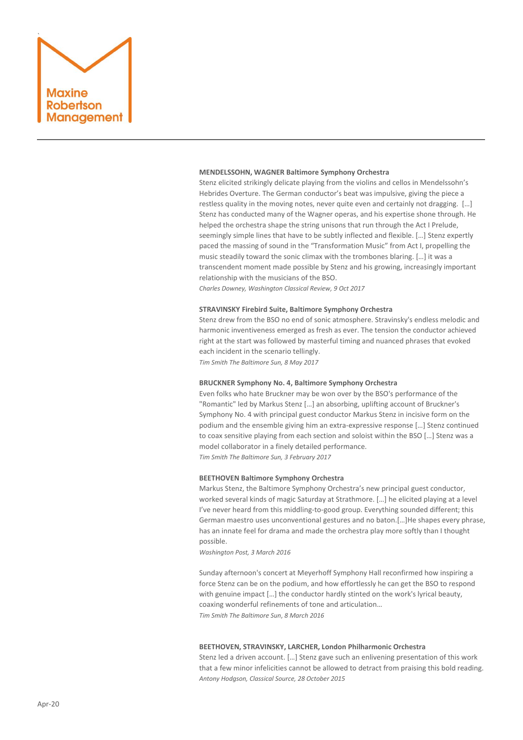

#### **MENDELSSOHN, WAGNER Baltimore Symphony Orchestra**

Stenz elicited strikingly delicate playing from the violins and cellos in Mendelssohn's Hebrides Overture. The German conductor's beat was impulsive, giving the piece a restless quality in the moving notes, never quite even and certainly not dragging. […] Stenz has conducted many of the Wagner operas, and his expertise shone through. He helped the orchestra shape the string unisons that run through the Act I Prelude, seemingly simple lines that have to be subtly inflected and flexible. […] Stenz expertly paced the massing of sound in the "Transformation Music" from Act I, propelling the music steadily toward the sonic climax with the trombones blaring. […] it was a transcendent moment made possible by Stenz and his growing, increasingly important relationship with the musicians of the BSO.

*Charles Downey, Washington Classical Review, 9 Oct 2017*

## **STRAVINSKY Firebird Suite, Baltimore Symphony Orchestra**

Stenz drew from the BSO no end of sonic atmosphere. Stravinsky's endless melodic and harmonic inventiveness emerged as fresh as ever. The tension the conductor achieved right at the start was followed by masterful timing and nuanced phrases that evoked each incident in the scenario tellingly.

*Tim Smith The Baltimore Sun, 8 May 2017*

## **BRUCKNER Symphony No. 4, Baltimore Symphony Orchestra**

Even folks who hate Bruckner may be won over by the BSO's performance of the "Romantic" led by Markus Stenz […] an absorbing, uplifting account of Bruckner's Symphony No. 4 with principal guest conductor Markus Stenz in incisive form on the podium and the ensemble giving him an extra-expressive response […] Stenz continued to coax sensitive playing from each section and soloist within the BSO […] Stenz was a model collaborator in a finely detailed performance. *Tim Smith The Baltimore Sun, 3 February 2017*

#### **BEETHOVEN Baltimore Symphony Orchestra**

Markus Stenz, the Baltimore Symphony Orchestra's new principal guest conductor, worked several kinds of magic Saturday at Strathmore. […] he elicited playing at a level I've never heard from this middling-to-good group. Everything sounded different; this German maestro uses unconventional gestures and no baton.[…]He shapes every phrase, has an innate feel for drama and made the orchestra play more softly than I thought possible.

*Washington Post, 3 March 2016*

Sunday afternoon's concert at Meyerhoff Symphony Hall reconfirmed how inspiring a force Stenz can be on the podium, and how effortlessly he can get the BSO to respond with genuine impact [...] the conductor hardly stinted on the work's lyrical beauty, coaxing wonderful refinements of tone and articulation… *Tim Smith The Baltimore Sun*, *8 March 2016*

#### **BEETHOVEN, STRAVINSKY, LARCHER, London Philharmonic Orchestra**

Stenz led a driven account. […] Stenz gave such an enlivening presentation of this work that a few minor infelicities cannot be allowed to detract from praising this bold reading. *Antony Hodgson, Classical Source, 28 October 2015*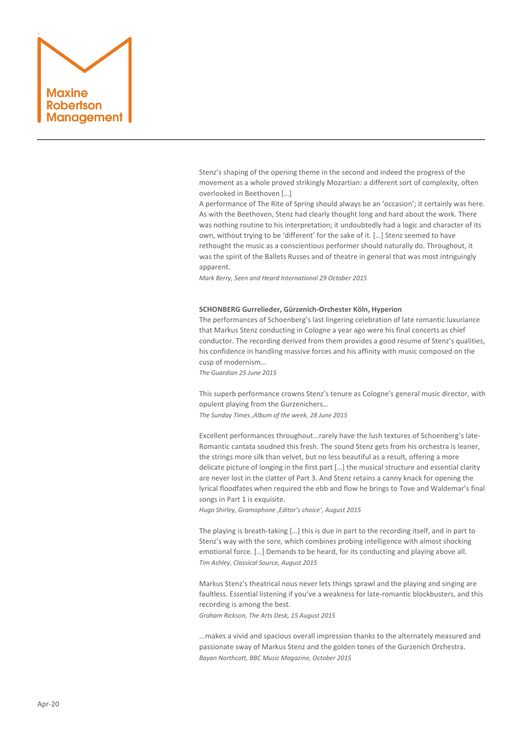

Stenz's shaping of the opening theme in the second and indeed the progress of the movement as a whole proved strikingly Mozartian: a different sort of complexity, often overlooked in Beethoven […]

A performance of The Rite of Spring should always be an 'occasion'; it certainly was here. As with the Beethoven, Stenz had clearly thought long and hard about the work. There was nothing routine to his interpretation; it undoubtedly had a logic and character of its own, without trying to be 'different' for the sake of it. […] Stenz seemed to have rethought the music as a conscientious performer should naturally do. Throughout, it was the spirit of the Ballets Russes and of theatre in general that was most intriguingly apparent.

*Mark Berry, Seen and Heard International 29 October 2015*

### **SCHONBERG Gurrelieder, Gürzenich-Orchester Köln, Hyperion**

The performances of Schoenberg's last lingering celebration of late romantic luxuriance that Markus Stenz conducting in Cologne a year ago were his final concerts as chief conductor. The recording derived from them provides a good resume of Stenz's qualities, his confidence in handling massive forces and his affinity with music composed on the cusp of modernism…

*The Guardian 25 June 2015*

This superb performance crowns Stenz's tenure as Cologne's general music director, with opulent playing from the Gurzenichers…

*The Sunday Times 'Album of the week, 28 June 2015*

Excellent performances throughout...rarely have the lush textures of Schoenberg's late-Romantic cantata soudned this fresh. The sound Stenz gets from his orchestra is leaner, the strings more silk than velvet, but no less beautiful as a result, offering a more delicate picture of longing in the first part […] the musical structure and essential clarity are never lost in the clatter of Part 3. And Stenz retains a canny knack for opening the lyrical floodfates when required the ebb and flow he brings to Tove and Waldemar's final songs in Part 1 is exquisite.

*Hugo Shirley, Gramophone 'Editor's choice', August 2015*

The playing is breath-taking […] this is due in part to the recording itself, and in part to Stenz's way with the sore, which combines probing intelligence with almost shocking emotional force. […] Demands to be heard, for its conducting and playing above all. *Tim Ashley, Classical Source, August 2015*

Markus Stenz's theatrical nous never lets things sprawl and the playing and singing are faultless. Essential listening if you've a weakness for late-romantic blockbusters, and this recording is among the best.

*Graham Rickson, The Arts Desk, 15 August 2015*

...makes a vivid and spacious overall impression thanks to the alternately measured and passionate sway of Markus Stenz and the golden tones of the Gurzenich Orchestra. *Bayan Northcott, BBC Music Magazine, October 2015*